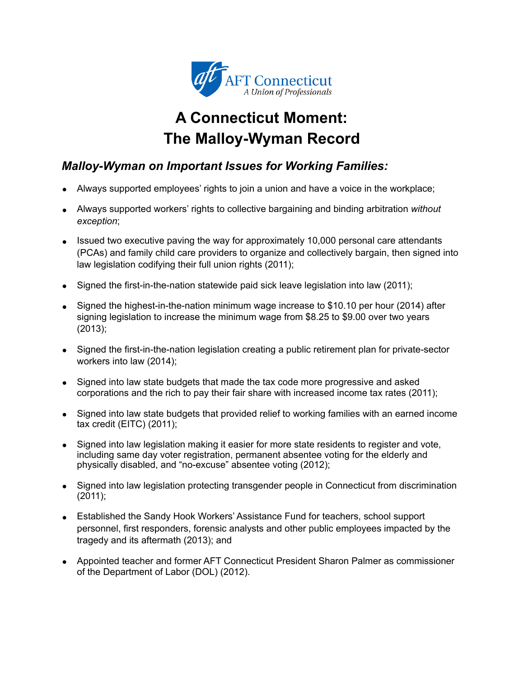

# **A Connecticut Moment: The Malloy-Wyman Record**

## *Malloy-Wyman on Important Issues for Working Families:*

- Always supported employees' rights to join a union and have a voice in the workplace;
- Always supported workers' rights to collective bargaining and binding arbitration *without exception*;
- Issued two executive paving the way for approximately 10,000 personal care attendants (PCAs) and family child care providers to organize and collectively bargain, then signed into law legislation codifying their full union rights (2011);
- Signed the first-in-the-nation statewide paid sick leave legislation into law (2011);
- Signed the highest-in-the-nation minimum wage increase to \$10.10 per hour (2014) after signing legislation to increase the minimum wage from \$8.25 to \$9.00 over two years (2013);
- Signed the first-in-the-nation legislation creating a public retirement plan for private-sector workers into law (2014);
- Signed into law state budgets that made the tax code more progressive and asked corporations and the rich to pay their fair share with increased income tax rates (2011);
- Signed into law state budgets that provided relief to working families with an earned income tax credit (EITC) (2011);
- Signed into law legislation making it easier for more state residents to register and vote, including same day voter registration, permanent absentee voting for the elderly and physically disabled, and "no-excuse" absentee voting (2012);
- Signed into law legislation protecting transgender people in Connecticut from discrimination (2011);
- Established the Sandy Hook Workers' Assistance Fund for teachers, school support personnel, first responders, forensic analysts and other public employees impacted by the tragedy and its aftermath (2013); and
- Appointed teacher and former AFT Connecticut President Sharon Palmer as commissioner of the Department of Labor (DOL) (2012).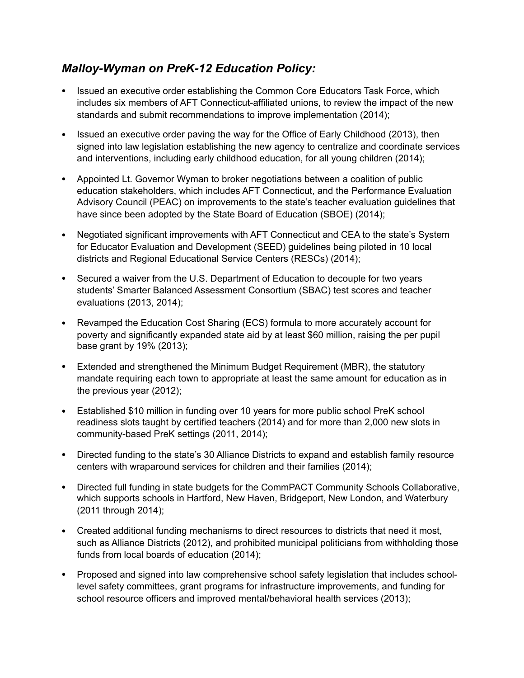#### *Malloy-Wyman on PreK-12 Education Policy:*

- Issued an executive order establishing the Common Core Educators Task Force, which includes six members of AFT Connecticut-affiliated unions, to review the impact of the new standards and submit recommendations to improve implementation (2014);
- Issued an executive order paving the way for the Office of Early Childhood (2013), then signed into law legislation establishing the new agency to centralize and coordinate services and interventions, including early childhood education, for all young children (2014);
- Appointed Lt. Governor Wyman to broker negotiations between a coalition of public education stakeholders, which includes AFT Connecticut, and the Performance Evaluation Advisory Council (PEAC) on improvements to the state's teacher evaluation guidelines that have since been adopted by the State Board of Education (SBOE) (2014);
- Negotiated significant improvements with AFT Connecticut and CEA to the state's System for Educator Evaluation and Development (SEED) guidelines being piloted in 10 local districts and Regional Educational Service Centers (RESCs) (2014);
- Secured a waiver from the U.S. Department of Education to decouple for two years students' Smarter Balanced Assessment Consortium (SBAC) test scores and teacher evaluations (2013, 2014);
- Revamped the Education Cost Sharing (ECS) formula to more accurately account for poverty and significantly expanded state aid by at least \$60 million, raising the per pupil base grant by 19% (2013);
- Extended and strengthened the Minimum Budget Requirement (MBR), the statutory mandate requiring each town to appropriate at least the same amount for education as in the previous year (2012);
- Established \$10 million in funding over 10 years for more public school PreK school readiness slots taught by certified teachers (2014) and for more than 2,000 new slots in community-based PreK settings (2011, 2014);
- Directed funding to the state's 30 Alliance Districts to expand and establish family resource centers with wraparound services for children and their families (2014);
- Directed full funding in state budgets for the CommPACT Community Schools Collaborative, which supports schools in Hartford, New Haven, Bridgeport, New London, and Waterbury (2011 through 2014);
- Created additional funding mechanisms to direct resources to districts that need it most, such as Alliance Districts (2012), and prohibited municipal politicians from withholding those funds from local boards of education (2014);
- Proposed and signed into law comprehensive school safety legislation that includes schoollevel safety committees, grant programs for infrastructure improvements, and funding for school resource officers and improved mental/behavioral health services (2013);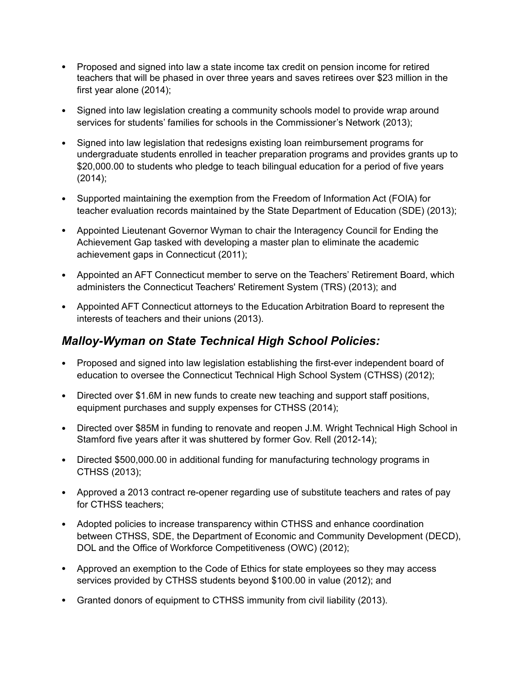- Proposed and signed into law a state income tax credit on pension income for retired teachers that will be phased in over three years and saves retirees over \$23 million in the first year alone (2014);
- Signed into law legislation creating a community schools model to provide wrap around services for students' families for schools in the Commissioner's Network (2013);
- Signed into law legislation that redesigns existing loan reimbursement programs for undergraduate students enrolled in teacher preparation programs and provides grants up to \$20,000.00 to students who pledge to teach bilingual education for a period of five years (2014);
- Supported maintaining the exemption from the Freedom of Information Act (FOIA) for teacher evaluation records maintained by the State Department of Education (SDE) (2013);
- Appointed Lieutenant Governor Wyman to chair the Interagency Council for Ending the Achievement Gap tasked with developing a master plan to eliminate the academic achievement gaps in Connecticut (2011);
- Appointed an AFT Connecticut member to serve on the Teachers' Retirement Board, which administers the Connecticut Teachers' Retirement System (TRS) (2013); and
- Appointed AFT Connecticut attorneys to the Education Arbitration Board to represent the interests of teachers and their unions (2013).

#### *Malloy-Wyman on State Technical High School Policies:*

- Proposed and signed into law legislation establishing the first-ever independent board of education to oversee the Connecticut Technical High School System (CTHSS) (2012);
- Directed over \$1.6M in new funds to create new teaching and support staff positions, equipment purchases and supply expenses for CTHSS (2014);
- Directed over \$85M in funding to renovate and reopen J.M. Wright Technical High School in Stamford five years after it was shuttered by former Gov. Rell (2012-14);
- Directed \$500,000.00 in additional funding for manufacturing technology programs in CTHSS (2013);
- Approved a 2013 contract re-opener regarding use of substitute teachers and rates of pay for CTHSS teachers;
- Adopted policies to increase transparency within CTHSS and enhance coordination between CTHSS, SDE, the Department of Economic and Community Development (DECD), DOL and the Office of Workforce Competitiveness (OWC) (2012);
- Approved an exemption to the Code of Ethics for state employees so they may access services provided by CTHSS students beyond \$100.00 in value (2012); and
- Granted donors of equipment to CTHSS immunity from civil liability (2013).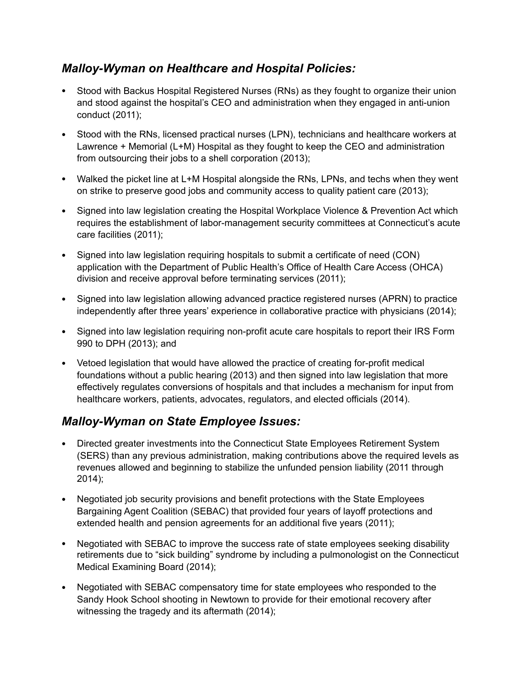#### *Malloy-Wyman on Healthcare and Hospital Policies:*

- Stood with Backus Hospital Registered Nurses (RNs) as they fought to organize their union and stood against the hospital's CEO and administration when they engaged in anti-union conduct (2011);
- Stood with the RNs, licensed practical nurses (LPN), technicians and healthcare workers at Lawrence + Memorial (L+M) Hospital as they fought to keep the CEO and administration from outsourcing their jobs to a shell corporation (2013);
- Walked the picket line at L+M Hospital alongside the RNs, LPNs, and techs when they went on strike to preserve good jobs and community access to quality patient care (2013);
- Signed into law legislation creating the Hospital Workplace Violence & Prevention Act which requires the establishment of labor-management security committees at Connecticut's acute care facilities (2011);
- Signed into law legislation requiring hospitals to submit a certificate of need (CON) application with the Department of Public Health's Office of Health Care Access (OHCA) division and receive approval before terminating services (2011);
- Signed into law legislation allowing advanced practice registered nurses (APRN) to practice independently after three years' experience in collaborative practice with physicians (2014);
- Signed into law legislation requiring non-profit acute care hospitals to report their IRS Form 990 to DPH (2013); and
- Vetoed legislation that would have allowed the practice of creating for-profit medical foundations without a public hearing (2013) and then signed into law legislation that more effectively regulates conversions of hospitals and that includes a mechanism for input from healthcare workers, patients, advocates, regulators, and elected officials (2014).

### *Malloy-Wyman on State Employee Issues:*

- Directed greater investments into the Connecticut State Employees Retirement System (SERS) than any previous administration, making contributions above the required levels as revenues allowed and beginning to stabilize the unfunded pension liability (2011 through 2014);
- Negotiated job security provisions and benefit protections with the State Employees Bargaining Agent Coalition (SEBAC) that provided four years of layoff protections and extended health and pension agreements for an additional five years (2011);
- Negotiated with SEBAC to improve the success rate of state employees seeking disability retirements due to "sick building" syndrome by including a pulmonologist on the Connecticut Medical Examining Board (2014);
- Negotiated with SEBAC compensatory time for state employees who responded to the Sandy Hook School shooting in Newtown to provide for their emotional recovery after witnessing the tragedy and its aftermath (2014);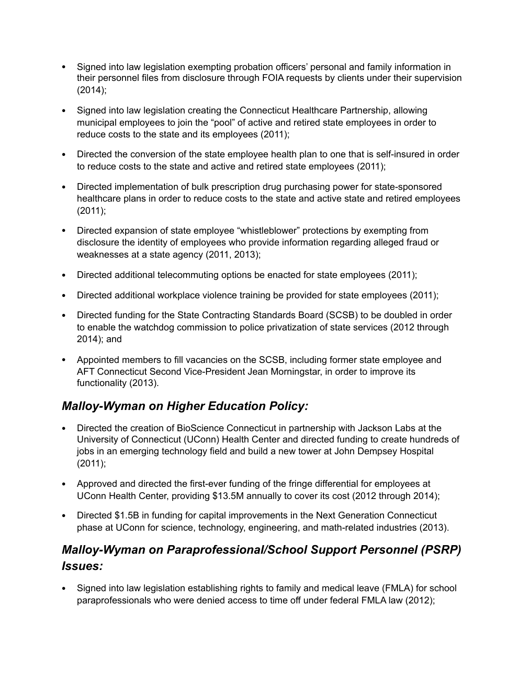- Signed into law legislation exempting probation officers' personal and family information in their personnel files from disclosure through FOIA requests by clients under their supervision (2014);
- Signed into law legislation creating the Connecticut Healthcare Partnership, allowing municipal employees to join the "pool" of active and retired state employees in order to reduce costs to the state and its employees (2011);
- Directed the conversion of the state employee health plan to one that is self-insured in order to reduce costs to the state and active and retired state employees (2011);
- Directed implementation of bulk prescription drug purchasing power for state-sponsored healthcare plans in order to reduce costs to the state and active state and retired employees (2011);
- Directed expansion of state employee "whistleblower" protections by exempting from disclosure the identity of employees who provide information regarding alleged fraud or weaknesses at a state agency (2011, 2013);
- Directed additional telecommuting options be enacted for state employees (2011);
- Directed additional workplace violence training be provided for state employees (2011);
- Directed funding for the State Contracting Standards Board (SCSB) to be doubled in order to enable the watchdog commission to police privatization of state services (2012 through 2014); and
- Appointed members to fill vacancies on the SCSB, including former state employee and AFT Connecticut Second Vice-President Jean Morningstar, in order to improve its functionality (2013).

## *Malloy-Wyman on Higher Education Policy:*

- Directed the creation of BioScience Connecticut in partnership with Jackson Labs at the University of Connecticut (UConn) Health Center and directed funding to create hundreds of jobs in an emerging technology field and build a new tower at John Dempsey Hospital (2011);
- Approved and directed the first-ever funding of the fringe differential for employees at UConn Health Center, providing \$13.5M annually to cover its cost (2012 through 2014);
- Directed \$1.5B in funding for capital improvements in the Next Generation Connecticut phase at UConn for science, technology, engineering, and math-related industries (2013).

# *Malloy-Wyman on Paraprofessional/School Support Personnel (PSRP) Issues:*

• Signed into law legislation establishing rights to family and medical leave (FMLA) for school paraprofessionals who were denied access to time off under federal FMLA law (2012);